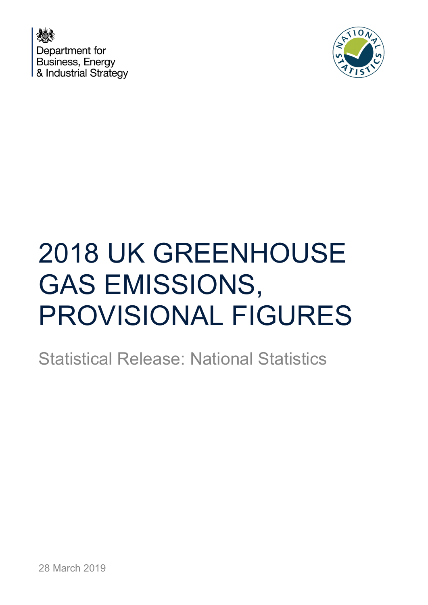



# 2018 UK GREENHOUSE GAS EMISSIONS, PROVISIONAL FIGURES

Statistical Release: National Statistics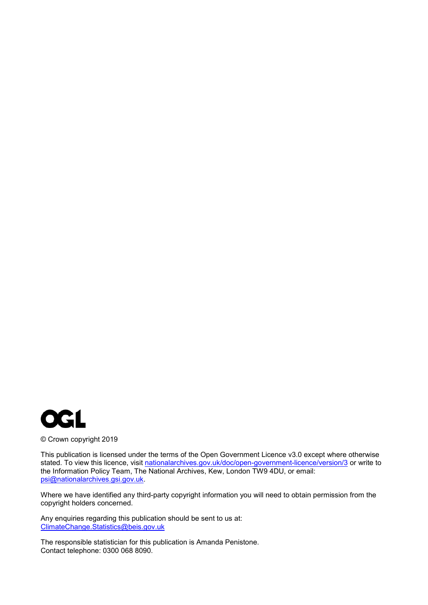

© Crown copyright 2019

This publication is licensed under the terms of the Open Government Licence v3.0 except where otherwise stated. To view this licence, visit [nationalarchives.gov.uk/doc/open-government-licence/version/3](http://nationalarchives.gov.uk/doc/open-government-licence/version/3/) or write to the Information Policy Team, The National Archives, Kew, London TW9 4DU, or email: [psi@nationalarchives.gsi.gov.uk.](mailto:psi@nationalarchives.gsi.gov.uk)

Where we have identified any third-party copyright information you will need to obtain permission from the copyright holders concerned.

Any enquiries regarding this publication should be sent to us at: [ClimateChange.Statistics@beis.gov.uk](mailto:ClimateChange.Statistics@beis.gov.uk)

The responsible statistician for this publication is Amanda Penistone. Contact telephone: 0300 068 8090.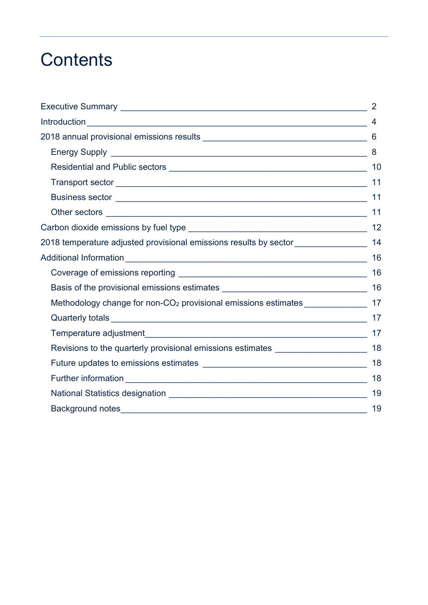# **Contents**

|                                                                                                | $\overline{2}$ |
|------------------------------------------------------------------------------------------------|----------------|
|                                                                                                | 4              |
|                                                                                                | 6              |
|                                                                                                | 8              |
|                                                                                                |                |
|                                                                                                |                |
|                                                                                                | 11             |
|                                                                                                |                |
|                                                                                                | 12             |
| 2018 temperature adjusted provisional emissions results by sector_______________ 14            |                |
|                                                                                                | 16             |
|                                                                                                | 16             |
| Basis of the provisional emissions estimates ___________________________________ 16            |                |
| Methodology change for non-CO <sub>2</sub> provisional emissions estimates_________________ 17 |                |
|                                                                                                |                |
|                                                                                                |                |
| Revisions to the quarterly provisional emissions estimates _____________________               | 18             |
|                                                                                                |                |
|                                                                                                | 18             |
|                                                                                                | 19             |
|                                                                                                | 19             |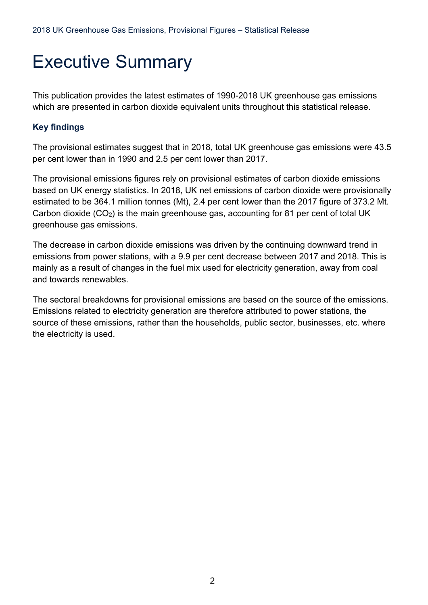# <span id="page-3-0"></span>Executive Summary

This publication provides the latest estimates of 1990-2018 UK greenhouse gas emissions which are presented in carbon dioxide equivalent units throughout this statistical release.

### **Key findings**

The provisional estimates suggest that in 2018, total UK greenhouse gas emissions were 43.5 per cent lower than in 1990 and 2.5 per cent lower than 2017.

The provisional emissions figures rely on provisional estimates of carbon dioxide emissions based on UK energy statistics. In 2018, UK net emissions of carbon dioxide were provisionally estimated to be 364.1 million tonnes (Mt), 2.4 per cent lower than the 2017 figure of 373.2 Mt. Carbon dioxide (CO2) is the main greenhouse gas, accounting for 81 per cent of total UK greenhouse gas emissions.

The decrease in carbon dioxide emissions was driven by the continuing downward trend in emissions from power stations, with a 9.9 per cent decrease between 2017 and 2018. This is mainly as a result of changes in the fuel mix used for electricity generation, away from coal and towards renewables.

The sectoral breakdowns for provisional emissions are based on the source of the emissions. Emissions related to electricity generation are therefore attributed to power stations, the source of these emissions, rather than the households, public sector, businesses, etc. where the electricity is used.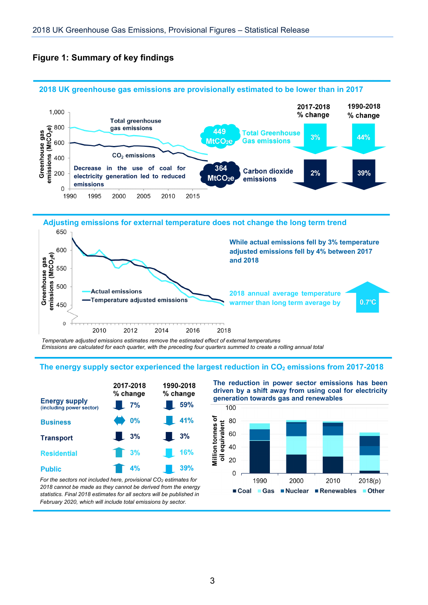#### **Figure 1: Summary of key findings**



#### **2018 UK greenhouse gas emissions are provisionally estimated to be lower than in 2017**

*Temperature adjusted emissions estimates remove the estimated effect of external temperatures Emissions are calculated for each quarter, with the preceding four quarters summed to create a rolling annual total*

2016

2014

#### The energy supply sector experienced the largest reduction in CO<sub>2</sub> emissions from 2017-2018

2018



**Actual emissions** 

2010

450

 $\Omega$ 

**Temperature adjusted emissions** 

2012

*For the sectors not included here, provisional CO2 estimates for 2018 cannot be made as they cannot be derived from the energy statistics. Final 2018 estimates for all sectors will be published in February 2020, which will include total emissions by sector.*

**The reduction in power sector emissions has been driven by a shift away from using coal for electricity generation towards gas and renewables**

 $0.7^{\circ}$ C

**2018 annual average temperature warmer than long term average by**

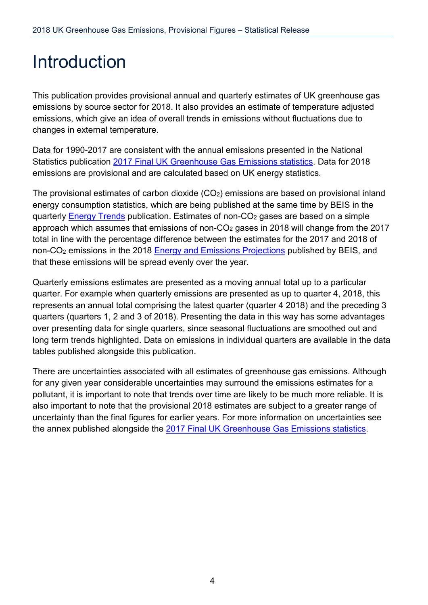# <span id="page-5-0"></span>Introduction

This publication provides provisional annual and quarterly estimates of UK greenhouse gas emissions by source sector for 2018. It also provides an estimate of temperature adjusted emissions, which give an idea of overall trends in emissions without fluctuations due to changes in external temperature.

Data for 1990-2017 are consistent with the annual emissions presented in the National Statistics publication 2017 [Final UK Greenhouse Gas Emissions statistics.](https://www.gov.uk/government/statistics/final-uk-greenhouse-gas-emissions-national-statistics-1990-2017) Data for 2018 emissions are provisional and are calculated based on UK energy statistics.

The provisional estimates of carbon dioxide  $(CO<sub>2</sub>)$  emissions are based on provisional inland energy consumption statistics, which are being published at the same time by BEIS in the quarterly [Energy Trends](https://www.gov.uk/government/collections/energy-trends) publication. Estimates of non-CO<sub>2</sub> gases are based on a simple approach which assumes that emissions of non- $CO<sub>2</sub>$  gases in 2018 will change from the 2017 total in line with the percentage difference between the estimates for the 2017 and 2018 of non-CO<sub>2</sub> emissions in the 2018 [Energy and Emissions Projections](https://www.gov.uk/government/collections/energy-and-emissions-projections) published by BEIS, and that these emissions will be spread evenly over the year.

Quarterly emissions estimates are presented as a moving annual total up to a particular quarter. For example when quarterly emissions are presented as up to quarter 4, 2018, this represents an annual total comprising the latest quarter (quarter 4 2018) and the preceding 3 quarters (quarters 1, 2 and 3 of 2018). Presenting the data in this way has some advantages over presenting data for single quarters, since seasonal fluctuations are smoothed out and long term trends highlighted. Data on emissions in individual quarters are available in the data tables published alongside this publication.

There are uncertainties associated with all estimates of greenhouse gas emissions. Although for any given year considerable uncertainties may surround the emissions estimates for a pollutant, it is important to note that trends over time are likely to be much more reliable. It is also important to note that the provisional 2018 estimates are subject to a greater range of uncertainty than the final figures for earlier years. For more information on uncertainties see the annex published alongside the [2017 Final UK Greenhouse Gas Emissions statistics.](https://www.gov.uk/government/statistics/final-uk-greenhouse-gas-emissions-national-statistics-1990-2017)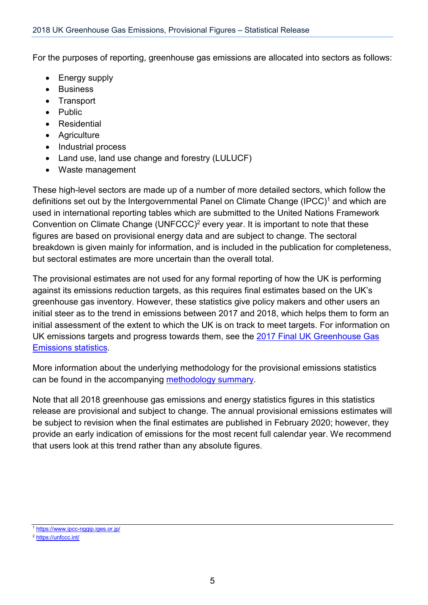For the purposes of reporting, greenhouse gas emissions are allocated into sectors as follows:

- Energy supply
- Business
- Transport
- Public
- Residential
- Agriculture
- Industrial process
- Land use, land use change and forestry (LULUCF)
- Waste management

These high-level sectors are made up of a number of more detailed sectors, which follow the definitions set out by the Intergovernmental Panel on Climate Change (IPCC)<sup>1</sup> and which are used in international reporting tables which are submitted to the United Nations Framework Convention on Climate Change (UNFCCC)<sup>2</sup> every year. It is important to note that these figures are based on provisional energy data and are subject to change. The sectoral breakdown is given mainly for information, and is included in the publication for completeness, but sectoral estimates are more uncertain than the overall total.

The provisional estimates are not used for any formal reporting of how the UK is performing against its emissions reduction targets, as this requires final estimates based on the UK's greenhouse gas inventory. However, these statistics give policy makers and other users an initial steer as to the trend in emissions between 2017 and 2018, which helps them to form an initial assessment of the extent to which the UK is on track to meet targets. For information on UK emissions targets and progress towards them, see the [2017 Final UK Greenhouse Gas](https://www.gov.uk/government/statistics/final-uk-greenhouse-gas-emissions-national-statistics-1990-2017)  [Emissions statistics.](https://www.gov.uk/government/statistics/final-uk-greenhouse-gas-emissions-national-statistics-1990-2017)

More information about the underlying methodology for the provisional emissions statistics can be found in the accompanying [methodology summary.](http://www.gov.uk/government/publications/uk-greenhouse-gas-emissions-explanatory-notes)

Note that all 2018 greenhouse gas emissions and energy statistics figures in this statistics release are provisional and subject to change. The annual provisional emissions estimates will be subject to revision when the final estimates are published in February 2020; however, they provide an early indication of emissions for the most recent full calendar year. We recommend that users look at this trend rather than any absolute figures.

<sup>1</sup> <https://www.ipcc-nggip.iges.or.jp/>

<sup>2</sup> <https://unfccc.int/>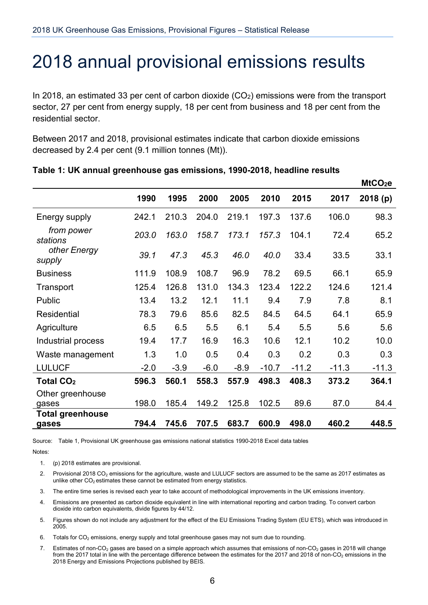# <span id="page-7-0"></span>2018 annual provisional emissions results

In 2018, an estimated 33 per cent of carbon dioxide  $(CO<sub>2</sub>)$  emissions were from the transport sector, 27 per cent from energy supply, 18 per cent from business and 18 per cent from the residential sector.

Between 2017 and 2018, provisional estimates indicate that carbon dioxide emissions decreased by 2.4 per cent (9.1 million tonnes (Mt)).

|                         |        |        |        |        |         |         |         | MtCO <sub>2</sub> e |
|-------------------------|--------|--------|--------|--------|---------|---------|---------|---------------------|
|                         | 1990   | 1995   | 2000   | 2005   | 2010    | 2015    | 2017    | 2018 (p)            |
| Energy supply           | 242.1  | 210.3  | 204.0  | 219.1  | 197.3   | 137.6   | 106.0   | 98.3                |
| from power<br>stations  | 203.0  | 163.0  | 158.7  | 173.1  | 157.3   | 104.1   | 72.4    | 65.2                |
| other Energy<br>supply  | 39.1   | 47.3   | 45.3   | 46.0   | 40.0    | 33.4    | 33.5    | 33.1                |
| <b>Business</b>         | 111.9  | 108.9  | 108.7  | 96.9   | 78.2    | 69.5    | 66.1    | 65.9                |
| Transport               | 125.4  | 126.8  | 131.0  | 134.3  | 123.4   | 122.2   | 124.6   | 121.4               |
| Public                  | 13.4   | 13.2   | 12.1   | 11.1   | 9.4     | 7.9     | 7.8     | 8.1                 |
| <b>Residential</b>      | 78.3   | 79.6   | 85.6   | 82.5   | 84.5    | 64.5    | 64.1    | 65.9                |
| Agriculture             | 6.5    | 6.5    | 5.5    | 6.1    | 5.4     | 5.5     | 5.6     | 5.6                 |
| Industrial process      | 19.4   | 17.7   | 16.9   | 16.3   | 10.6    | 12.1    | 10.2    | 10.0                |
| Waste management        | 1.3    | 1.0    | 0.5    | 0.4    | 0.3     | 0.2     | 0.3     | 0.3                 |
| <b>LULUCF</b>           | $-2.0$ | $-3.9$ | $-6.0$ | $-8.9$ | $-10.7$ | $-11.2$ | $-11.3$ | $-11.3$             |
| Total CO <sub>2</sub>   | 596.3  | 560.1  | 558.3  | 557.9  | 498.3   | 408.3   | 373.2   | 364.1               |
| Other greenhouse        |        |        |        |        |         |         |         |                     |
| gases                   | 198.0  | 185.4  | 149.2  | 125.8  | 102.5   | 89.6    | 87.0    | 84.4                |
| <b>Total greenhouse</b> |        |        |        |        |         |         |         |                     |
| gases                   | 794.4  | 745.6  | 707.5  | 683.7  | 600.9   | 498.0   | 460.2   | 448.5               |

#### **Table 1: UK annual greenhouse gas emissions, 1990-2018, headline results**

Source: Table 1, Provisional UK greenhouse gas emissions national statistics 1990-2018 Excel data tables Notes:

1. (p) 2018 estimates are provisional.

- 2. Provisional 2018 CO<sub>2</sub> emissions for the agriculture, waste and LULUCF sectors are assumed to be the same as 2017 estimates as unlike other  $CO<sub>2</sub>$  estimates these cannot be estimated from energy statistics.
- 3. The entire time series is revised each year to take account of methodological improvements in the UK emissions inventory.
- 4. Emissions are presented as carbon dioxide equivalent in line with international reporting and carbon trading. To convert carbon dioxide into carbon equivalents, divide figures by 44/12.
- 5. Figures shown do not include any adjustment for the effect of the EU Emissions Trading System (EU ETS), which was introduced in 2005.
- 6. Totals for CO<sub>2</sub> emissions, energy supply and total greenhouse gases may not sum due to rounding.
- 7. Estimates of non-CO<sub>2</sub> gases are based on a simple approach which assumes that emissions of non-CO<sub>2</sub> gases in 2018 will change from the 2017 total in line with the percentage difference between the estimates for the 2017 and 2018 of non-CO<sub>2</sub> emissions in the 2018 Energy and Emissions Projections published by BEIS.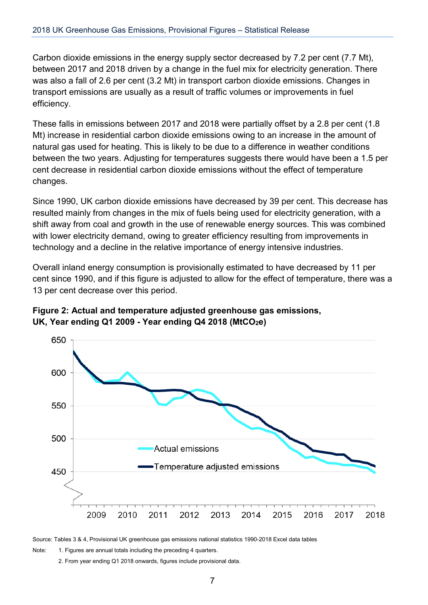Carbon dioxide emissions in the energy supply sector decreased by 7.2 per cent (7.7 Mt), between 2017 and 2018 driven by a change in the fuel mix for electricity generation. There was also a fall of 2.6 per cent (3.2 Mt) in transport carbon dioxide emissions. Changes in transport emissions are usually as a result of traffic volumes or improvements in fuel efficiency.

These falls in emissions between 2017 and 2018 were partially offset by a 2.8 per cent (1.8 Mt) increase in residential carbon dioxide emissions owing to an increase in the amount of natural gas used for heating. This is likely to be due to a difference in weather conditions between the two years. Adjusting for temperatures suggests there would have been a 1.5 per cent decrease in residential carbon dioxide emissions without the effect of temperature changes.

Since 1990, UK carbon dioxide emissions have decreased by 39 per cent. This decrease has resulted mainly from changes in the mix of fuels being used for electricity generation, with a shift away from coal and growth in the use of renewable energy sources. This was combined with lower electricity demand, owing to greater efficiency resulting from improvements in technology and a decline in the relative importance of energy intensive industries.

Overall inland energy consumption is provisionally estimated to have decreased by 11 per cent since 1990, and if this figure is adjusted to allow for the effect of temperature, there was a 13 per cent decrease over this period.





Source: Tables 3 & 4, Provisional UK greenhouse gas emissions national statistics 1990-2018 Excel data tables

Note: 1. Figures are annual totals including the preceding 4 quarters.

2. From year ending Q1 2018 onwards, figures include provisional data.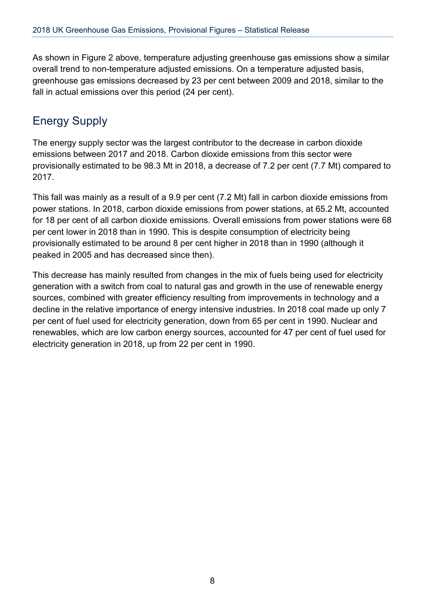As shown in Figure 2 above, temperature adjusting greenhouse gas emissions show a similar overall trend to non-temperature adjusted emissions. On a temperature adjusted basis, greenhouse gas emissions decreased by 23 per cent between 2009 and 2018, similar to the fall in actual emissions over this period (24 per cent).

# <span id="page-9-0"></span>Energy Supply

The energy supply sector was the largest contributor to the decrease in carbon dioxide emissions between 2017 and 2018. Carbon dioxide emissions from this sector were provisionally estimated to be 98.3 Mt in 2018, a decrease of 7.2 per cent (7.7 Mt) compared to 2017.

This fall was mainly as a result of a 9.9 per cent (7.2 Mt) fall in carbon dioxide emissions from power stations. In 2018, carbon dioxide emissions from power stations, at 65.2 Mt, accounted for 18 per cent of all carbon dioxide emissions. Overall emissions from power stations were 68 per cent lower in 2018 than in 1990. This is despite consumption of electricity being provisionally estimated to be around 8 per cent higher in 2018 than in 1990 (although it peaked in 2005 and has decreased since then).

This decrease has mainly resulted from changes in the mix of fuels being used for electricity generation with a switch from coal to natural gas and growth in the use of renewable energy sources, combined with greater efficiency resulting from improvements in technology and a decline in the relative importance of energy intensive industries. In 2018 coal made up only 7 per cent of fuel used for electricity generation, down from 65 per cent in 1990. Nuclear and renewables, which are low carbon energy sources, accounted for 47 per cent of fuel used for electricity generation in 2018, up from 22 per cent in 1990.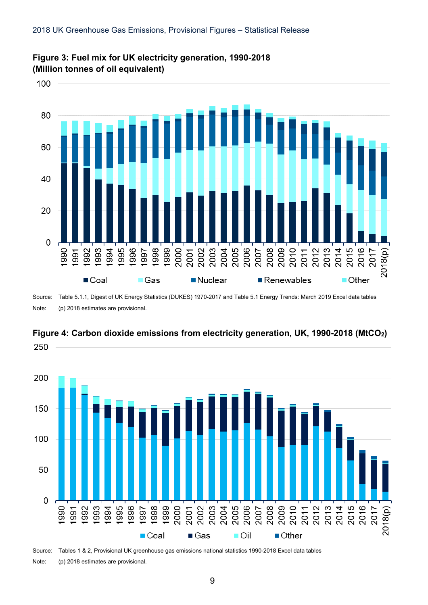

**Figure 3: Fuel mix for UK electricity generation, 1990-2018 (Million tonnes of oil equivalent)**

Source: Table 5.1.1, Digest of UK Energy Statistics (DUKES) 1970-2017 and Table 5.1 Energy Trends: March 2019 Excel data tables Note: (p) 2018 estimates are provisional.



**Figure 4: Carbon dioxide emissions from electricity generation, UK, 1990-2018 (MtCO2)**

Source: Tables 1 & 2, Provisional UK greenhouse gas emissions national statistics 1990-2018 Excel data tables

Note: (p) 2018 estimates are provisional.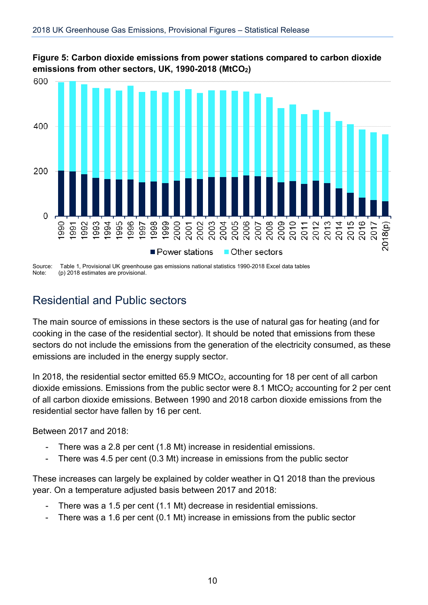

<span id="page-11-1"></span>

<span id="page-11-0"></span>Source: Table 1, Provisional UK greenhouse gas emissions national statistics 1990-2018 Excel data tables<br>Note: (n) 2018 estimates are provisional  $(p)$  2018 estimates are provisional.

### Residential and Public sectors

The main source of emissions in these sectors is the use of natural gas for heating (and for cooking in the case of the residential sector). It should be noted that emissions from these sectors do not include the emissions from the generation of the electricity consumed, as these emissions are included in the energy supply sector.

In 2018, the residential sector emitted 65.9 MtCO<sub>2</sub>, accounting for 18 per cent of all carbon dioxide emissions. Emissions from the public sector were  $8.1$  MtCO<sub>2</sub> accounting for 2 per cent of all carbon dioxide emissions. Between 1990 and 2018 carbon dioxide emissions from the residential sector have fallen by 16 per cent.

Between 2017 and 2018:

- There was a 2.8 per cent (1.8 Mt) increase in residential emissions.
- There was 4.5 per cent (0.3 Mt) increase in emissions from the public sector

These increases can largely be explained by colder weather in Q1 2018 than the previous year. On a temperature adjusted basis between 2017 and 2018:

- There was a 1.5 per cent (1.1 Mt) decrease in residential emissions.
- There was a 1.6 per cent (0.1 Mt) increase in emissions from the public sector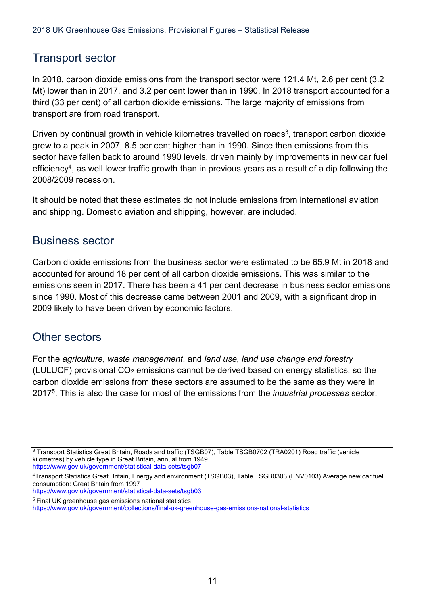### Transport sector

In 2018, carbon dioxide emissions from the transport sector were 121.4 Mt, 2.6 per cent (3.2 Mt) lower than in 2017, and 3.2 per cent lower than in 1990. In 2018 transport accounted for a third (33 per cent) of all carbon dioxide emissions. The large majority of emissions from transport are from road transport.

Driven by continual growth in vehicle kilometres travelled on roads<sup>3</sup>, transport carbon dioxide grew to a peak in 2007, 8.5 per cent higher than in 1990. Since then emissions from this sector have fallen back to around 1990 levels, driven mainly by improvements in new car fuel efficiency<sup>4</sup>, as well lower traffic growth than in previous years as a result of a dip following the 2008/2009 recession.

It should be noted that these estimates do not include emissions from international aviation and shipping. Domestic aviation and shipping, however, are included.

### <span id="page-12-0"></span>Business sector

Carbon dioxide emissions from the business sector were estimated to be 65.9 Mt in 2018 and accounted for around 18 per cent of all carbon dioxide emissions. This was similar to the emissions seen in 2017. There has been a 41 per cent decrease in business sector emissions since 1990. Most of this decrease came between 2001 and 2009, with a significant drop in 2009 likely to have been driven by economic factors.

### <span id="page-12-1"></span>Other sectors

For the *agriculture*, *waste management*, and *land use, land use change and forestry* (LULUCF) provisional  $CO<sub>2</sub>$  emissions cannot be derived based on energy statistics, so the carbon dioxide emissions from these sectors are assumed to be the same as they were in 20175. This is also the case for most of the emissions from the *industrial processes* sector.

<https://www.gov.uk/government/statistical-data-sets/tsgb03>

```
5 Final UK greenhouse gas emissions national statistics
```
<sup>3</sup> Transport Statistics Great Britain, Roads and traffic (TSGB07), Table TSGB0702 (TRA0201) Road traffic (vehicle kilometres) by vehicle type in Great Britain, annual from 1949 <https://www.gov.uk/government/statistical-data-sets/tsgb07>

<sup>4</sup>Transport Statistics Great Britain, Energy and environment (TSGB03), Table TSGB0303 (ENV0103) Average new car fuel consumption: Great Britain from 1997

<https://www.gov.uk/government/collections/final-uk-greenhouse-gas-emissions-national-statistics>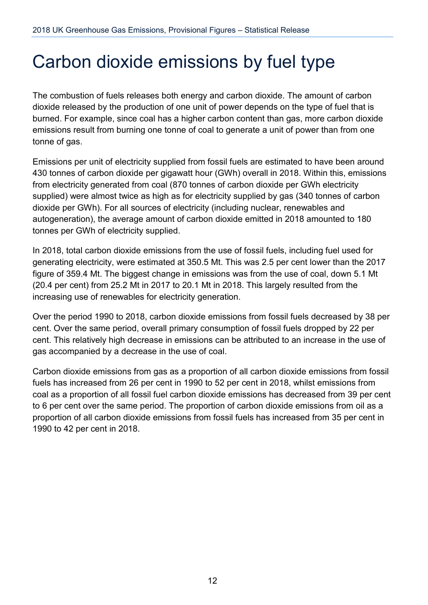# <span id="page-13-0"></span>Carbon dioxide emissions by fuel type

The combustion of fuels releases both energy and carbon dioxide. The amount of carbon dioxide released by the production of one unit of power depends on the type of fuel that is burned. For example, since coal has a higher carbon content than gas, more carbon dioxide emissions result from burning one tonne of coal to generate a unit of power than from one tonne of gas.

Emissions per unit of electricity supplied from fossil fuels are estimated to have been around 430 tonnes of carbon dioxide per gigawatt hour (GWh) overall in 2018. Within this, emissions from electricity generated from coal (870 tonnes of carbon dioxide per GWh electricity supplied) were almost twice as high as for electricity supplied by gas (340 tonnes of carbon dioxide per GWh). For all sources of electricity (including nuclear, renewables and autogeneration), the average amount of carbon dioxide emitted in 2018 amounted to 180 tonnes per GWh of electricity supplied.

In 2018, total carbon dioxide emissions from the use of fossil fuels, including fuel used for generating electricity, were estimated at 350.5 Mt. This was 2.5 per cent lower than the 2017 figure of 359.4 Mt. The biggest change in emissions was from the use of coal, down 5.1 Mt (20.4 per cent) from 25.2 Mt in 2017 to 20.1 Mt in 2018. This largely resulted from the increasing use of renewables for electricity generation.

Over the period 1990 to 2018, carbon dioxide emissions from fossil fuels decreased by 38 per cent. Over the same period, overall primary consumption of fossil fuels dropped by 22 per cent. This relatively high decrease in emissions can be attributed to an increase in the use of gas accompanied by a decrease in the use of coal.

Carbon dioxide emissions from gas as a proportion of all carbon dioxide emissions from fossil fuels has increased from 26 per cent in 1990 to 52 per cent in 2018, whilst emissions from coal as a proportion of all fossil fuel carbon dioxide emissions has decreased from 39 per cent to 6 per cent over the same period. The proportion of carbon dioxide emissions from oil as a proportion of all carbon dioxide emissions from fossil fuels has increased from 35 per cent in 1990 to 42 per cent in 2018.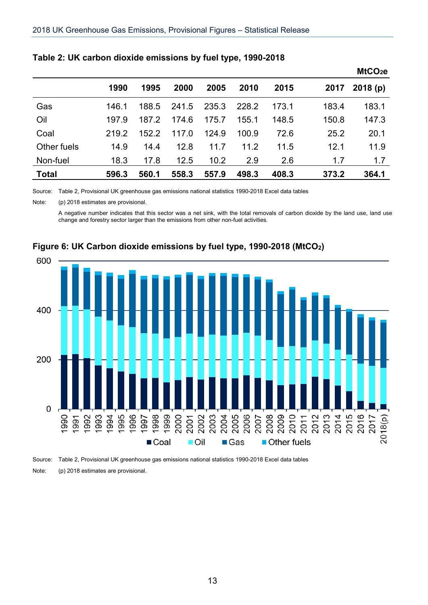|              |       |       |       |       |       |       |       | MtCO <sub>2</sub> e |
|--------------|-------|-------|-------|-------|-------|-------|-------|---------------------|
|              | 1990  | 1995  | 2000  | 2005  | 2010  | 2015  | 2017  | 2018(p)             |
| Gas          | 146.1 | 188.5 | 241.5 | 235.3 | 228.2 | 173.1 | 183.4 | 183.1               |
| Oil          | 197.9 | 187.2 | 174.6 | 175.7 | 155.1 | 148.5 | 150.8 | 147.3               |
| Coal         | 219.2 | 152.2 | 117.0 | 124.9 | 100.9 | 72.6  | 25.2  | 20.1                |
| Other fuels  | 14.9  | 14.4  | 12.8  | 11.7  | 11.2  | 11.5  | 12.1  | 11.9                |
| Non-fuel     | 18.3  | 17.8  | 12.5  | 10.2  | 2.9   | 2.6   | 1.7   | 1.7                 |
| <b>Total</b> | 596.3 | 560.1 | 558.3 | 557.9 | 498.3 | 408.3 | 373.2 | 364.1               |

#### **Table 2: UK carbon dioxide emissions by fuel type, 1990-2018**

Source: Table 2, Provisional UK greenhouse gas emissions national statistics 1990-2018 Excel data tables

Note: (p) 2018 estimates are provisional.

A negative number indicates that this sector was a net sink, with the total removals of carbon dioxide by the land use, land use change and forestry sector larger than the emissions from other non-fuel activities.



#### **Figure 6: UK Carbon dioxide emissions by fuel type, 1990-2018 (MtCO2)**

Source: Table 2, Provisional UK greenhouse gas emissions national statistics 1990-2018 Excel data tables Note: (p) 2018 estimates are provisional.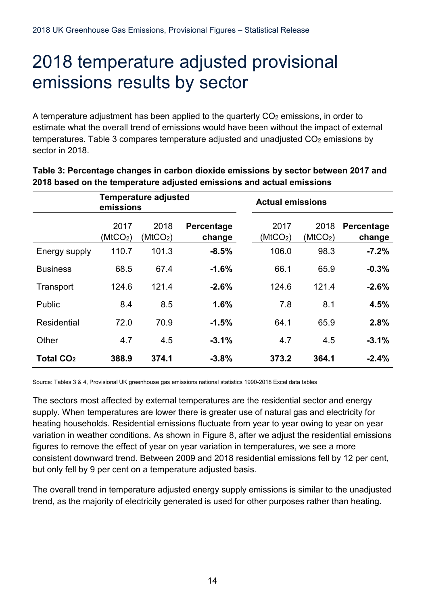# <span id="page-15-0"></span>2018 temperature adjusted provisional emissions results by sector

A temperature adjustment has been applied to the quarterly  $CO<sub>2</sub>$  emissions, in order to estimate what the overall trend of emissions would have been without the impact of external temperatures. Table 3 compares temperature adjusted and unadjusted CO<sub>2</sub> emissions by sector in 2018.

|                             | emissions                    | <b>Temperature adjusted</b>  |                      | <b>Actual emissions</b>      |                              |                      |
|-----------------------------|------------------------------|------------------------------|----------------------|------------------------------|------------------------------|----------------------|
|                             | 2017<br>(MtCO <sub>2</sub> ) | 2018<br>(MtCO <sub>2</sub> ) | Percentage<br>change | 2017<br>(MtCO <sub>2</sub> ) | 2018<br>(MtCO <sub>2</sub> ) | Percentage<br>change |
| Energy supply               | 110.7                        | 101.3                        | $-8.5%$              | 106.0                        | 98.3                         | $-7.2%$              |
| <b>Business</b>             | 68.5                         | 67.4                         | $-1.6%$              | 66.1                         | 65.9                         | $-0.3%$              |
| Transport                   | 124.6                        | 121.4                        | $-2.6%$              | 124.6                        | 121.4                        | $-2.6%$              |
| Public                      | 8.4                          | 8.5                          | 1.6%                 | 7.8                          | 8.1                          | 4.5%                 |
| <b>Residential</b>          | 72.0                         | 70.9                         | $-1.5%$              | 64.1                         | 65.9                         | 2.8%                 |
| Other                       | 4.7                          | 4.5                          | $-3.1%$              | 4.7                          | 4.5                          | $-3.1%$              |
| <b>Total CO<sub>2</sub></b> | 388.9                        | 374.1                        | $-3.8%$              | 373.2                        | 364.1                        | $-2.4%$              |

### **Table 3: Percentage changes in carbon dioxide emissions by sector between 2017 and 2018 based on the temperature adjusted emissions and actual emissions**

Source: Tables 3 & 4, Provisional UK greenhouse gas emissions national statistics 1990-2018 Excel data tables

The sectors most affected by external temperatures are the residential sector and energy supply. When temperatures are lower there is greater use of natural gas and electricity for heating households. Residential emissions fluctuate from year to year owing to year on year variation in weather conditions. As shown in Figure 8, after we adjust the residential emissions figures to remove the effect of year on year variation in temperatures, we see a more consistent downward trend. Between 2009 and 2018 residential emissions fell by 12 per cent, but only fell by 9 per cent on a temperature adjusted basis.

The overall trend in temperature adjusted energy supply emissions is similar to the unadjusted trend, as the majority of electricity generated is used for other purposes rather than heating.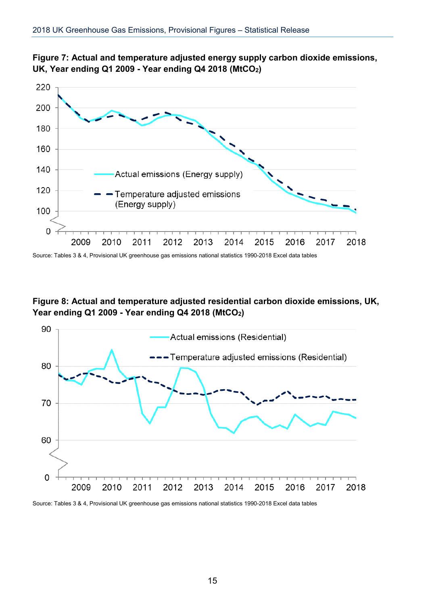

**Figure 7: Actual and temperature adjusted energy supply carbon dioxide emissions, UK, Year ending Q1 2009 - Year ending Q4 2018 (MtCO2)**

Source: Tables 3 & 4, Provisional UK greenhouse gas emissions national statistics 1990-2018 Excel data tables

### **Figure 8: Actual and temperature adjusted residential carbon dioxide emissions, UK, Year ending Q1 2009 - Year ending Q4 2018 (MtCO2)**



Source: Tables 3 & 4, Provisional UK greenhouse gas emissions national statistics 1990-2018 Excel data tables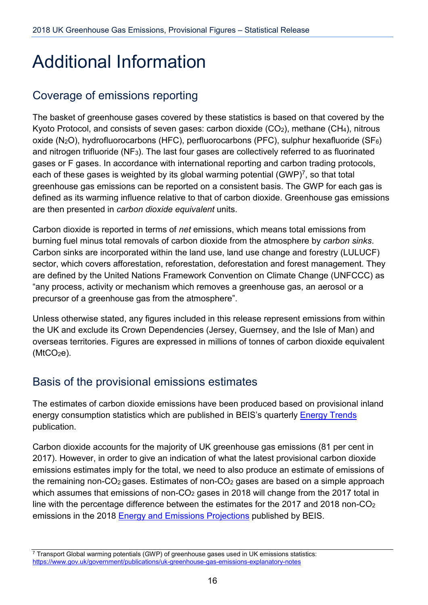# <span id="page-17-3"></span><span id="page-17-0"></span>Additional Information

# <span id="page-17-1"></span>Coverage of emissions reporting

The basket of greenhouse gases covered by these statistics is based on that covered by the Kyoto Protocol, and consists of seven gases: carbon dioxide  $(CO<sub>2</sub>)$ , methane  $(CH<sub>4</sub>)$ , nitrous oxide (N<sub>2</sub>O), hydrofluorocarbons (HFC), perfluorocarbons (PFC), sulphur hexafluoride (SF<sub>6</sub>) and nitrogen trifluoride (NF3). The last four gases are collectively referred to as fluorinated gases or F gases. In accordance with international reporting and carbon trading protocols, each of these gases is weighted by its global warming potential  $(GWP)^7$ , so that total greenhouse gas emissions can be reported on a consistent basis. The GWP for each gas is defined as its warming influence relative to that of carbon dioxide. Greenhouse gas emissions are then presented in *carbon dioxide equivalent* units.

Carbon dioxide is reported in terms of *net* emissions, which means total emissions from burning fuel minus total removals of carbon dioxide from the atmosphere by *carbon sinks*. Carbon sinks are incorporated within the land use, land use change and forestry (LULUCF) sector, which covers afforestation, reforestation, deforestation and forest management. They are defined by the United Nations Framework Convention on Climate Change (UNFCCC) as "any process, activity or mechanism which removes a greenhouse gas, an aerosol or a precursor of a greenhouse gas from the atmosphere".

Unless otherwise stated, any figures included in this release represent emissions from within the UK and exclude its Crown Dependencies (Jersey, Guernsey, and the Isle of Man) and overseas territories. Figures are expressed in millions of tonnes of carbon dioxide equivalent  $(MtCO<sub>2</sub>e).$ 

# <span id="page-17-2"></span>Basis of the provisional emissions estimates

The estimates of carbon dioxide emissions have been produced based on provisional inland energy consumption statistics which are published in BEIS's quarterly [Energy Trends](https://www.gov.uk/government/organisations/department-of-energy-climate-change/series/energy-trends) publication.

Carbon dioxide accounts for the majority of UK greenhouse gas emissions (81 per cent in 2017). However, in order to give an indication of what the latest provisional carbon dioxide emissions estimates imply for the total, we need to also produce an estimate of emissions of the remaining non-CO2 gases. Estimates of non-CO2 gases are based on a simple approach which assumes that emissions of non- $CO<sub>2</sub>$  gases in 2018 will change from the 2017 total in line with the percentage difference between the estimates for the 2017 and 2018 non-CO<sub>2</sub> emissions in the 2018 [Energy and Emissions Projections](https://www.gov.uk/government/collections/energy-and-emissions-projections) published by BEIS.

<sup>7</sup> Transport Global warming potentials (GWP) of greenhouse gases used in UK emissions statistics: <https://www.gov.uk/government/publications/uk-greenhouse-gas-emissions-explanatory-notes>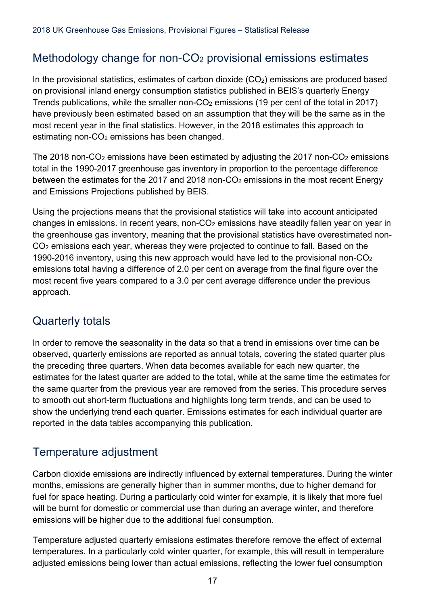# Methodology change for non- $CO<sub>2</sub>$  provisional emissions estimates

In the provisional statistics, estimates of carbon dioxide  $(CO<sub>2</sub>)$  emissions are produced based on provisional inland energy consumption statistics published in BEIS's quarterly Energy Trends publications, while the smaller non- $CO<sub>2</sub>$  emissions (19 per cent of the total in 2017) have previously been estimated based on an assumption that they will be the same as in the most recent year in the final statistics. However, in the 2018 estimates this approach to estimating non-CO<sub>2</sub> emissions has been changed.

The 2018 non-CO<sub>2</sub> emissions have been estimated by adjusting the 2017 non-CO<sub>2</sub> emissions total in the 1990-2017 greenhouse gas inventory in proportion to the percentage difference between the estimates for the 2017 and 2018 non- $CO<sub>2</sub>$  emissions in the most recent Energy and Emissions Projections published by BEIS.

Using the projections means that the provisional statistics will take into account anticipated changes in emissions. In recent years, non-CO2 emissions have steadily fallen year on year in the greenhouse gas inventory, meaning that the provisional statistics have overestimated non-CO2 emissions each year, whereas they were projected to continue to fall. Based on the 1990-2016 inventory, using this new approach would have led to the provisional non-CO2 emissions total having a difference of 2.0 per cent on average from the final figure over the most recent five years compared to a 3.0 per cent average difference under the previous approach.

# <span id="page-18-0"></span>Quarterly totals

In order to remove the seasonality in the data so that a trend in emissions over time can be observed, quarterly emissions are reported as annual totals, covering the stated quarter plus the preceding three quarters. When data becomes available for each new quarter, the estimates for the latest quarter are added to the total, while at the same time the estimates for the same quarter from the previous year are removed from the series. This procedure serves to smooth out short-term fluctuations and highlights long term trends, and can be used to show the underlying trend each quarter. Emissions estimates for each individual quarter are reported in the data tables accompanying this publication.

## <span id="page-18-1"></span>Temperature adjustment

Carbon dioxide emissions are indirectly influenced by external temperatures. During the winter months, emissions are generally higher than in summer months, due to higher demand for fuel for space heating. During a particularly cold winter for example, it is likely that more fuel will be burnt for domestic or commercial use than during an average winter, and therefore emissions will be higher due to the additional fuel consumption.

Temperature adjusted quarterly emissions estimates therefore remove the effect of external temperatures. In a particularly cold winter quarter, for example, this will result in temperature adjusted emissions being lower than actual emissions, reflecting the lower fuel consumption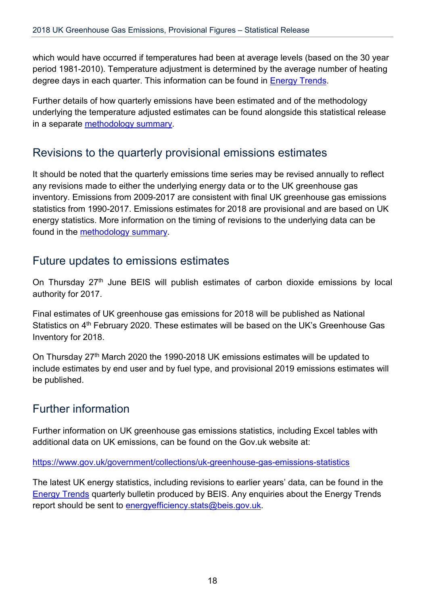<span id="page-19-3"></span>which would have occurred if temperatures had been at average levels (based on the 30 year period 1981-2010). Temperature adjustment is determined by the average number of heating degree days in each quarter. This information can be found in **Energy Trends**.

Further details of how quarterly emissions have been estimated and of the methodology underlying the temperature adjusted estimates can be found alongside this statistical release in a separate **methodology** summary.

### <span id="page-19-0"></span>Revisions to the quarterly provisional emissions estimates

It should be noted that the quarterly emissions time series may be revised annually to reflect any revisions made to either the underlying energy data or to the UK greenhouse gas inventory. Emissions from 2009-2017 are consistent with final UK greenhouse gas emissions statistics from 1990-2017. Emissions estimates for 2018 are provisional and are based on UK energy statistics. More information on the timing of revisions to the underlying data can be found in the [methodology summary.](http://www.gov.uk/government/publications/uk-greenhouse-gas-emissions-explanatory-notes)

### <span id="page-19-1"></span>Future updates to emissions estimates

On Thursday 27<sup>th</sup> June BEIS will publish estimates of carbon dioxide emissions by local authority for 2017.

Final estimates of UK greenhouse gas emissions for 2018 will be published as National Statistics on 4<sup>th</sup> February 2020. These estimates will be based on the UK's Greenhouse Gas Inventory for 2018.

On Thursday 27<sup>th</sup> March 2020 the 1990-2018 UK emissions estimates will be updated to include estimates by end user and by fuel type, and provisional 2019 emissions estimates will be published.

# <span id="page-19-2"></span>Further information

Further information on UK greenhouse gas emissions statistics, including Excel tables with additional data on UK emissions, can be found on the Gov.uk website at:

### <https://www.gov.uk/government/collections/uk-greenhouse-gas-emissions-statistics>

The latest UK energy statistics, including revisions to earlier years' data, can be found in the [Energy Trends](https://www.gov.uk/government/collections/energy-trends) quarterly bulletin produced by BEIS. Any enquiries about the Energy Trends report should be sent to energy efficiency stats@beis.gov.uk.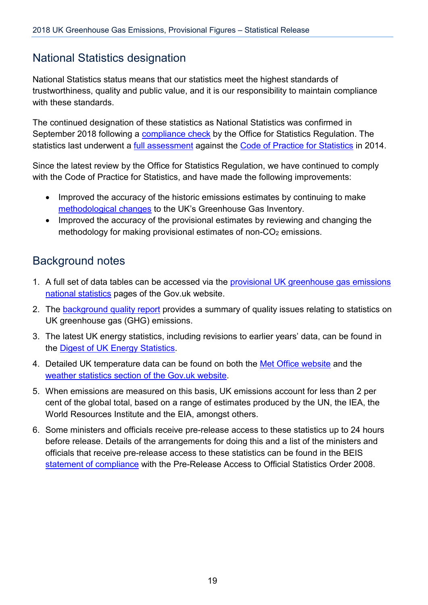# National Statistics designation

National Statistics status means that our statistics meet the highest standards of trustworthiness, quality and public value, and it is our responsibility to maintain compliance with these standards.

The continued designation of these statistics as National Statistics was confirmed in September 2018 following a [compliance check](https://www.statisticsauthority.gov.uk/correspondence/statistics-on-energy-and-climate-change/) by the Office for Statistics Regulation. The statistics last underwent a [full assessment](https://www.statisticsauthority.gov.uk/archive/assessment/assessment/assessment-reports/assessment-report-283---statistics-on-energy-and-climate-change.pdf) against the [Code of Practice for Statistics](https://www.statisticsauthority.gov.uk/code-of-practice/) in 2014.

Since the latest review by the Office for Statistics Regulation, we have continued to comply with the Code of Practice for Statistics, and have made the following improvements:

- Improved the accuracy of the historic emissions estimates by continuing to make [methodological changes](https://www.gov.uk/government/publications/planned-methodology-changes-for-uk-greenhouse-gas-emissions) to the UK's Greenhouse Gas Inventory.
- Improved the accuracy of the provisional estimates by reviewing and changing the methodology for making provisional estimates of non-CO<sub>2</sub> emissions.

## <span id="page-20-0"></span>Background notes

- 1. A full set of data tables can be accessed via the [provisional UK greenhouse gas emissions](https://www.gov.uk/government/collections/provisional-uk-greenhouse-gas-emissions-national-statistics.)  [national statistics](https://www.gov.uk/government/collections/provisional-uk-greenhouse-gas-emissions-national-statistics.) pages of the Gov.uk website.
- 2. The [background quality report](https://www.gov.uk/government/uploads/system/uploads/attachment_data/file/433591/GHG_emissions_background_quality_report_.pdf) provides a summary of quality issues relating to statistics on UK greenhouse gas (GHG) emissions.
- 3. The latest UK energy statistics, including revisions to earlier years' data, can be found in the [Digest of UK Energy Statistics.](https://www.gov.uk/government/collections/digest-of-uk-energy-statistics-dukes)
- 4. Detailed UK temperature data can be found on both the [Met Office website](http://www.metoffice.gov.uk/) and the weather [statistics section of the Gov.uk website.](https://www.gov.uk/government/collections/weather-statistics)
- 5. When emissions are measured on this basis, UK emissions account for less than 2 per cent of the global total, based on a range of estimates produced by the UN, the IEA, the World Resources Institute and the EIA, amongst others.
- 6. Some ministers and officials receive pre-release access to these statistics up to 24 hours before release. Details of the arrangements for doing this and a list of the ministers and officials that receive pre-release access to these statistics can be found in the BEIS [statement of compliance](https://www.gov.uk/government/publications/beis-standards-for-official-statistics/pre-release-access-to-official-statistics-order-2008-statement-of-compliance) with the Pre-Release Access to Official Statistics Order 2008.